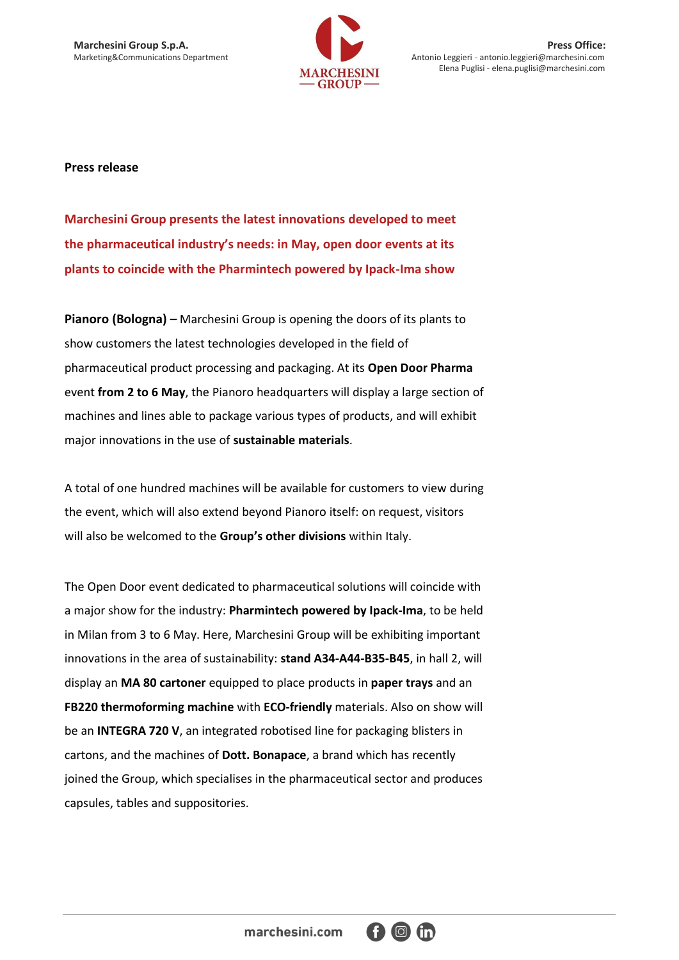

**Marchesini Group S.p.A.** Press Office:<br>
Marketing&Communications Department Marketing&Communications Department Antonio Leggieri - antonio Leggieri entonio.leggieri@marchesini.com Antonio Leggieri - antonio.leggieri@marchesini.com Elena Puglisi - elena.puglisi@marchesini.com

## **Press release**

**Marchesini Group presents the latest innovations developed to meet the pharmaceutical industry's needs: in May, open door events at its plants to coincide with the Pharmintech powered by Ipack-Ima show**

**Pianoro (Bologna) –** Marchesini Group is opening the doors of its plants to show customers the latest technologies developed in the field of pharmaceutical product processing and packaging. At its **Open Door Pharma** event **from 2 to 6 May**, the Pianoro headquarters will display a large section of machines and lines able to package various types of products, and will exhibit major innovations in the use of **sustainable materials**.

A total of one hundred machines will be available for customers to view during the event, which will also extend beyond Pianoro itself: on request, visitors will also be welcomed to the **Group's other divisions** within Italy.

The Open Door event dedicated to pharmaceutical solutions will coincide with a major show for the industry: **Pharmintech powered by Ipack-Ima**, to be held in Milan from 3 to 6 May. Here, Marchesini Group will be exhibiting important innovations in the area of sustainability: **stand A34-A44-B35-B45**, in hall 2, will display an **MA 80 cartoner** equipped to place products in **paper trays** and an **FB220 thermoforming machine** with **ECO-friendly** materials. Also on show will be an **INTEGRA 720 V**, an integrated robotised line for packaging blisters in cartons, and the machines of **Dott. Bonapace**, a brand which has recently joined the Group, which specialises in the pharmaceutical sector and produces capsules, tables and suppositories.

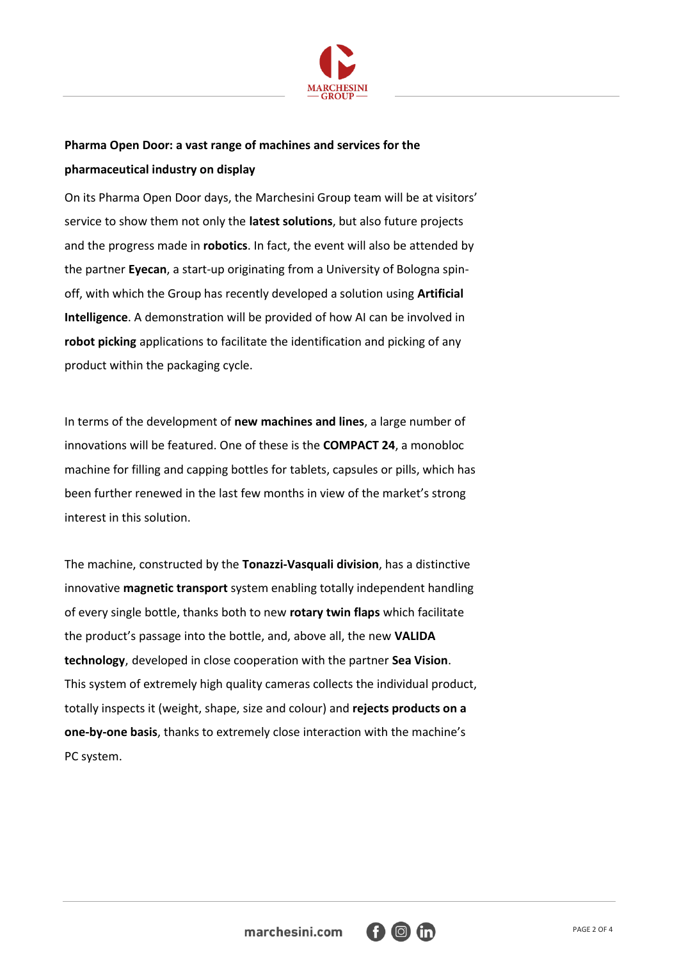

## **Pharma Open Door: a vast range of machines and services for the pharmaceutical industry on display**

On its Pharma Open Door days, the Marchesini Group team will be at visitors' service to show them not only the **latest solutions**, but also future projects and the progress made in **robotics**. In fact, the event will also be attended by the partner **Eyecan**, a start-up originating from a University of Bologna spinoff, with which the Group has recently developed a solution using **Artificial Intelligence**. A demonstration will be provided of how AI can be involved in **robot picking** applications to facilitate the identification and picking of any product within the packaging cycle.

In terms of the development of **new machines and lines**, a large number of innovations will be featured. One of these is the **COMPACT 24**, a monobloc machine for filling and capping bottles for tablets, capsules or pills, which has been further renewed in the last few months in view of the market's strong interest in this solution.

The machine, constructed by the **Tonazzi-Vasquali division**, has a distinctive innovative **magnetic transport** system enabling totally independent handling of every single bottle, thanks both to new **rotary twin flaps** which facilitate the product's passage into the bottle, and, above all, the new **VALIDA technology**, developed in close cooperation with the partner **Sea Vision**. This system of extremely high quality cameras collects the individual product, totally inspects it (weight, shape, size and colour) and **rejects products on a one-by-one basis**, thanks to extremely close interaction with the machine's PC system.

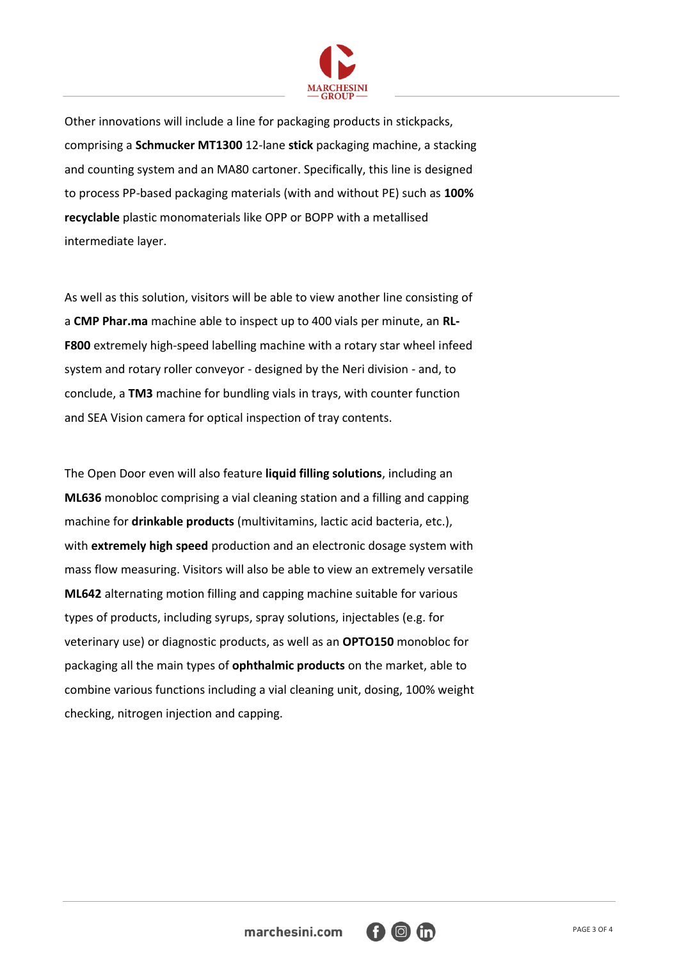

Other innovations will include a line for packaging products in stickpacks, comprising a **Schmucker MT1300** 12-lane **stick** packaging machine, a stacking and counting system and an MA80 cartoner. Specifically, this line is designed to process PP-based packaging materials (with and without PE) such as **100% recyclable** plastic monomaterials like OPP or BOPP with a metallised intermediate layer.

As well as this solution, visitors will be able to view another line consisting of a **CMP Phar.ma** machine able to inspect up to 400 vials per minute, an **RL-F800** extremely high-speed labelling machine with a rotary star wheel infeed system and rotary roller conveyor - designed by the Neri division - and, to conclude, a **TM3** machine for bundling vials in trays, with counter function and SEA Vision camera for optical inspection of tray contents.

The Open Door even will also feature **liquid filling solutions**, including an **ML636** monobloc comprising a vial cleaning station and a filling and capping machine for **drinkable products** (multivitamins, lactic acid bacteria, etc.), with **extremely high speed** production and an electronic dosage system with mass flow measuring. Visitors will also be able to view an extremely versatile **ML642** alternating motion filling and capping machine suitable for various types of products, including syrups, spray solutions, injectables (e.g. for veterinary use) or diagnostic products, as well as an **OPTO150** monobloc for packaging all the main types of **ophthalmic products** on the market, able to combine various functions including a vial cleaning unit, dosing, 100% weight checking, nitrogen injection and capping.